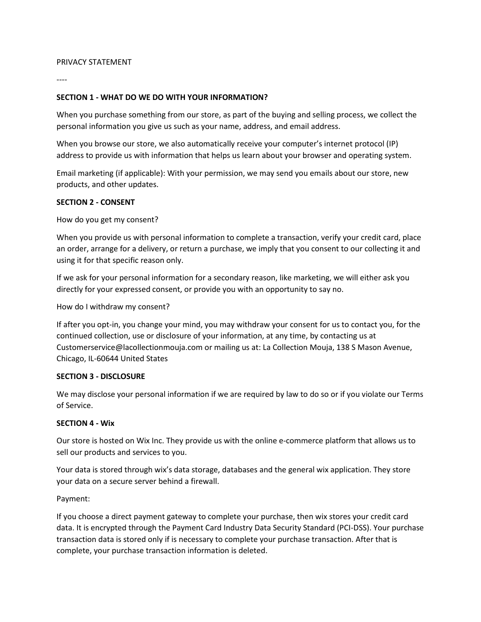## PRIVACY STATEMENT

#### ----

### **SECTION 1 - WHAT DO WE DO WITH YOUR INFORMATION?**

When you purchase something from our store, as part of the buying and selling process, we collect the personal information you give us such as your name, address, and email address.

When you browse our store, we also automatically receive your computer's internet protocol (IP) address to provide us with information that helps us learn about your browser and operating system.

Email marketing (if applicable): With your permission, we may send you emails about our store, new products, and other updates.

### **SECTION 2 - CONSENT**

How do you get my consent?

When you provide us with personal information to complete a transaction, verify your credit card, place an order, arrange for a delivery, or return a purchase, we imply that you consent to our collecting it and using it for that specific reason only.

If we ask for your personal information for a secondary reason, like marketing, we will either ask you directly for your expressed consent, or provide you with an opportunity to say no.

How do I withdraw my consent?

If after you opt-in, you change your mind, you may withdraw your consent for us to contact you, for the continued collection, use or disclosure of your information, at any time, by contacting us at Customerservice@lacollectionmouja.com or mailing us at: La Collection Mouja, 138 S Mason Avenue, Chicago, IL-60644 United States

### **SECTION 3 - DISCLOSURE**

We may disclose your personal information if we are required by law to do so or if you violate our Terms of Service.

### **SECTION 4 - Wix**

Our store is hosted on Wix Inc. They provide us with the online e-commerce platform that allows us to sell our products and services to you.

Your data is stored through wix's data storage, databases and the general wix application. They store your data on a secure server behind a firewall.

Payment:

If you choose a direct payment gateway to complete your purchase, then wix stores your credit card data. It is encrypted through the Payment Card Industry Data Security Standard (PCI-DSS). Your purchase transaction data is stored only if is necessary to complete your purchase transaction. After that is complete, your purchase transaction information is deleted.